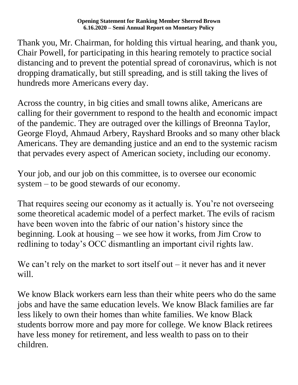Thank you, Mr. Chairman, for holding this virtual hearing, and thank you, Chair Powell, for participating in this hearing remotely to practice social distancing and to prevent the potential spread of coronavirus, which is not dropping dramatically, but still spreading, and is still taking the lives of hundreds more Americans every day.

Across the country, in big cities and small towns alike, Americans are calling for their government to respond to the health and economic impact of the pandemic. They are outraged over the killings of Breonna Taylor, George Floyd, Ahmaud Arbery, Rayshard Brooks and so many other black Americans. They are demanding justice and an end to the systemic racism that pervades every aspect of American society, including our economy.

Your job, and our job on this committee, is to oversee our economic system – to be good stewards of our economy.

That requires seeing our economy as it actually is. You're not overseeing some theoretical academic model of a perfect market. The evils of racism have been woven into the fabric of our nation's history since the beginning. Look at housing – we see how it works, from Jim Crow to redlining to today's OCC dismantling an important civil rights law.

We can't rely on the market to sort itself out  $-$  it never has and it never will.

We know Black workers earn less than their white peers who do the same jobs and have the same education levels. We know Black families are far less likely to own their homes than white families. We know Black students borrow more and pay more for college. We know Black retirees have less money for retirement, and less wealth to pass on to their children.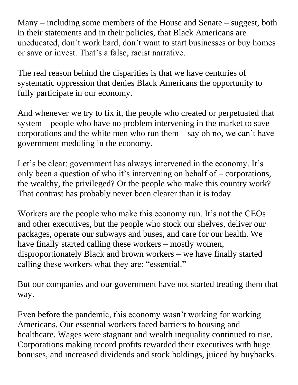Many – including some members of the House and Senate – suggest, both in their statements and in their policies, that Black Americans are uneducated, don't work hard, don't want to start businesses or buy homes or save or invest. That's a false, racist narrative.

The real reason behind the disparities is that we have centuries of systematic oppression that denies Black Americans the opportunity to fully participate in our economy.

And whenever we try to fix it, the people who created or perpetuated that system – people who have no problem intervening in the market to save corporations and the white men who run them – say oh no, we can't have government meddling in the economy.

Let's be clear: government has always intervened in the economy. It's only been a question of who it's intervening on behalf of – corporations, the wealthy, the privileged? Or the people who make this country work? That contrast has probably never been clearer than it is today.

Workers are the people who make this economy run. It's not the CEOs and other executives, but the people who stock our shelves, deliver our packages, operate our subways and buses, and care for our health. We have finally started calling these workers – mostly women, disproportionately Black and brown workers – we have finally started calling these workers what they are: "essential."

But our companies and our government have not started treating them that way.

Even before the pandemic, this economy wasn't working for working Americans. Our essential workers faced barriers to housing and healthcare. Wages were stagnant and wealth inequality continued to rise. Corporations making record profits rewarded their executives with huge bonuses, and increased dividends and stock holdings, juiced by buybacks.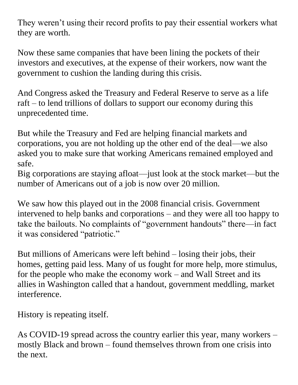They weren't using their record profits to pay their essential workers what they are worth.

Now these same companies that have been lining the pockets of their investors and executives, at the expense of their workers, now want the government to cushion the landing during this crisis.

And Congress asked the Treasury and Federal Reserve to serve as a life raft – to lend trillions of dollars to support our economy during this unprecedented time.

But while the Treasury and Fed are helping financial markets and corporations, you are not holding up the other end of the deal—we also asked you to make sure that working Americans remained employed and safe.

Big corporations are staying afloat—just look at the stock market—but the number of Americans out of a job is now over 20 million.

We saw how this played out in the 2008 financial crisis. Government intervened to help banks and corporations – and they were all too happy to take the bailouts. No complaints of "government handouts" there—in fact it was considered "patriotic."

But millions of Americans were left behind – losing their jobs, their homes, getting paid less. Many of us fought for more help, more stimulus, for the people who make the economy work – and Wall Street and its allies in Washington called that a handout, government meddling, market interference.

History is repeating itself.

As COVID-19 spread across the country earlier this year, many workers – mostly Black and brown – found themselves thrown from one crisis into the next.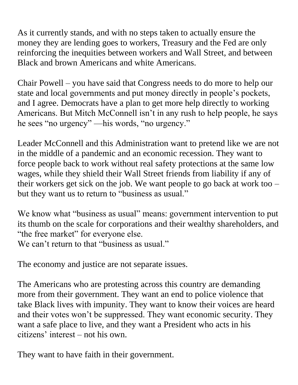As it currently stands, and with no steps taken to actually ensure the money they are lending goes to workers, Treasury and the Fed are only reinforcing the inequities between workers and Wall Street, and between Black and brown Americans and white Americans.

Chair Powell – you have said that Congress needs to do more to help our state and local governments and put money directly in people's pockets, and I agree. Democrats have a plan to get more help directly to working Americans. But Mitch McConnell isn't in any rush to help people, he says he sees "no urgency" —his words, "no urgency."

Leader McConnell and this Administration want to pretend like we are not in the middle of a pandemic and an economic recession. They want to force people back to work without real safety protections at the same low wages, while they shield their Wall Street friends from liability if any of their workers get sick on the job. We want people to go back at work too – but they want us to return to "business as usual."

We know what "business as usual" means: government intervention to put its thumb on the scale for corporations and their wealthy shareholders, and "the free market" for everyone else. We can't return to that "business as usual."

The economy and justice are not separate issues.

The Americans who are protesting across this country are demanding more from their government. They want an end to police violence that take Black lives with impunity. They want to know their voices are heard and their votes won't be suppressed. They want economic security. They want a safe place to live, and they want a President who acts in his citizens' interest – not his own.

They want to have faith in their government.